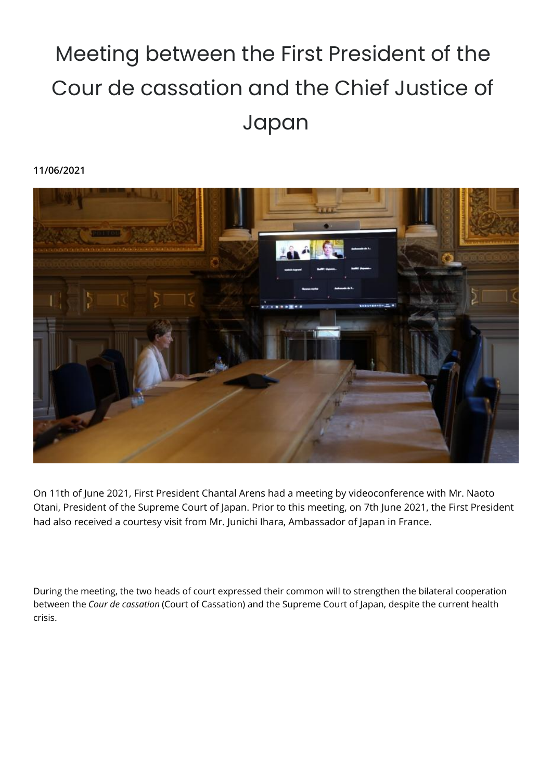## Meeting between the First President of the Cour de cassation and the Chief Justice of Japan

## **11/06/2021**



On 11th of June 2021, First President Chantal Arens had a meeting by videoconference with Mr. Naoto Otani, President of the Supreme Court of Japan. Prior to this meeting, on 7th June 2021, the First President had also received a courtesy visit from Mr. Junichi Ihara, Ambassador of Japan in France.

During the meeting, the two heads of court expressed their common will to strengthen the bilateral cooperation between the *Cour de cassation* (Court of Cassation) and the Supreme Court of Japan, despite the current health crisis.